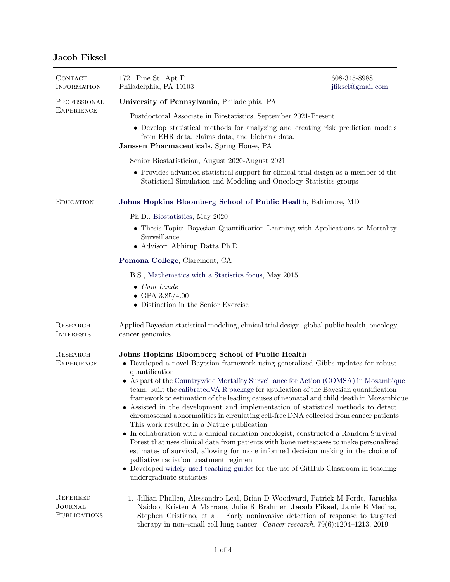## Jacob Fiksel

| CONTACT<br><b>INFORMATION</b>              | 1721 Pine St. Apt F<br>Philadelphia, PA 19103                                                                                                                                                                                                                                                                                                                                                                                                                                                                                                                                                                                                                                                                                                                                                                                                                                                                                                                                                                                                                                                             | 608-345-8988<br>jfiksel@gmail.com |
|--------------------------------------------|-----------------------------------------------------------------------------------------------------------------------------------------------------------------------------------------------------------------------------------------------------------------------------------------------------------------------------------------------------------------------------------------------------------------------------------------------------------------------------------------------------------------------------------------------------------------------------------------------------------------------------------------------------------------------------------------------------------------------------------------------------------------------------------------------------------------------------------------------------------------------------------------------------------------------------------------------------------------------------------------------------------------------------------------------------------------------------------------------------------|-----------------------------------|
| PROFESSIONAL<br><b>EXPERIENCE</b>          | University of Pennsylvania, Philadelphia, PA                                                                                                                                                                                                                                                                                                                                                                                                                                                                                                                                                                                                                                                                                                                                                                                                                                                                                                                                                                                                                                                              |                                   |
|                                            | Postdoctoral Associate in Biostatistics, September 2021-Present                                                                                                                                                                                                                                                                                                                                                                                                                                                                                                                                                                                                                                                                                                                                                                                                                                                                                                                                                                                                                                           |                                   |
|                                            | • Develop statistical methods for analyzing and creating risk prediction models<br>from EHR data, claims data, and biobank data.<br>Janssen Pharmaceuticals, Spring House, PA                                                                                                                                                                                                                                                                                                                                                                                                                                                                                                                                                                                                                                                                                                                                                                                                                                                                                                                             |                                   |
|                                            | Senior Biostatistician, August 2020-August 2021                                                                                                                                                                                                                                                                                                                                                                                                                                                                                                                                                                                                                                                                                                                                                                                                                                                                                                                                                                                                                                                           |                                   |
|                                            | • Provides advanced statistical support for clinical trial design as a member of the<br>Statistical Simulation and Modeling and Oncology Statistics groups                                                                                                                                                                                                                                                                                                                                                                                                                                                                                                                                                                                                                                                                                                                                                                                                                                                                                                                                                |                                   |
| <b>EDUCATION</b>                           | Johns Hopkins Bloomberg School of Public Health, Baltimore, MD                                                                                                                                                                                                                                                                                                                                                                                                                                                                                                                                                                                                                                                                                                                                                                                                                                                                                                                                                                                                                                            |                                   |
|                                            | Ph.D., Biostatistics, May 2020                                                                                                                                                                                                                                                                                                                                                                                                                                                                                                                                                                                                                                                                                                                                                                                                                                                                                                                                                                                                                                                                            |                                   |
|                                            | • Thesis Topic: Bayesian Quantification Learning with Applications to Mortality<br>Surveillance<br>• Advisor: Abhirup Datta Ph.D                                                                                                                                                                                                                                                                                                                                                                                                                                                                                                                                                                                                                                                                                                                                                                                                                                                                                                                                                                          |                                   |
|                                            | Pomona College, Claremont, CA                                                                                                                                                                                                                                                                                                                                                                                                                                                                                                                                                                                                                                                                                                                                                                                                                                                                                                                                                                                                                                                                             |                                   |
|                                            | B.S., Mathematics with a Statistics focus, May 2015                                                                                                                                                                                                                                                                                                                                                                                                                                                                                                                                                                                                                                                                                                                                                                                                                                                                                                                                                                                                                                                       |                                   |
|                                            | $\bullet$ Cum Laude<br>• GPA $3.85/4.00$<br>• Distinction in the Senior Exercise                                                                                                                                                                                                                                                                                                                                                                                                                                                                                                                                                                                                                                                                                                                                                                                                                                                                                                                                                                                                                          |                                   |
| RESEARCH<br><b>INTERESTS</b>               | Applied Bayesian statistical modeling, clinical trial design, global public health, oncology,<br>cancer genomics                                                                                                                                                                                                                                                                                                                                                                                                                                                                                                                                                                                                                                                                                                                                                                                                                                                                                                                                                                                          |                                   |
| <b>RESEARCH</b><br><b>EXPERIENCE</b>       | Johns Hopkins Bloomberg School of Public Health<br>• Developed a novel Bayesian framework using generalized Gibbs updates for robust<br>quantification<br>• As part of the Countrywide Mortality Surveillance for Action (COMSA) in Mozambique<br>team, built the calibrated VA R package for application of the Bayesian quantification<br>framework to estimation of the leading causes of neonatal and child death in Mozambique.<br>• Assisted in the development and implementation of statistical methods to detect<br>chromosomal abnormalities in circulating cell-free DNA collected from cancer patients.<br>This work resulted in a Nature publication<br>• In collaboration with a clinical radiation oncologist, constructed a Random Survival<br>Forest that uses clinical data from patients with bone metastases to make personalized<br>estimates of survival, allowing for more informed decision making in the choice of<br>palliative radiation treatment regimen<br>• Developed widely-used teaching guides for the use of GitHub Classroom in teaching<br>undergraduate statistics. |                                   |
| <b>REFEREED</b><br>JOURNAL<br>PUBLICATIONS | 1. Jillian Phallen, Alessandro Leal, Brian D Woodward, Patrick M Forde, Jarushka<br>Naidoo, Kristen A Marrone, Julie R Brahmer, Jacob Fiksel, Jamie E Medina,<br>Stephen Cristiano, et al. Early noninvasive detection of response to targeted<br>therapy in non-small cell lung cancer. Cancer research, $79(6):1204-1213$ , $2019$                                                                                                                                                                                                                                                                                                                                                                                                                                                                                                                                                                                                                                                                                                                                                                      |                                   |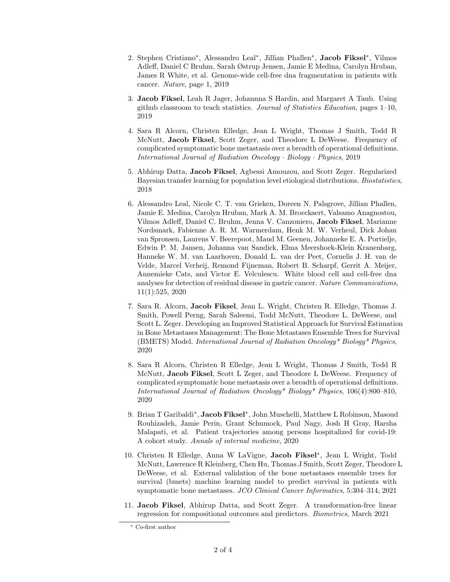- 2. Stephen Cristiano<sup>\*</sup>, Alessandro Leal<sup>\*</sup>, Jillian Phallen<sup>\*</sup>, Jacob Fiksel<sup>\*</sup>, Vilmos Adleff, Daniel C Bruhm, Sarah Østrup Jensen, Jamie E Medina, Carolyn Hruban, James R White, et al. Genome-wide cell-free dna fragmentation in patients with cancer. Nature, page 1, 201[9](#page-1-0)
- 3. Jacob Fiksel, Leah R Jager, Johannna S Hardin, and Margaret A Taub. Using github classroom to teach statistics. Journal of Statistics Education, pages  $1-10$ , 2019
- 4. Sara R Alcorn, Christen Elledge, Jean L Wright, Thomas J Smith, Todd R McNutt, Jacob Fiksel, Scott Zeger, and Theodore L DeWeese. Frequency of complicated symptomatic bone metastasis over a breadth of operational definitions. International Journal of Radiation Oncology · Biology · Physics, 2019
- 5. Abhirup Datta, Jacob Fiksel, Agbessi Amouzou, and Scott Zeger. Regularized Bayesian transfer learning for population level etiological distributions. Biostatistics, 2018
- 6. Alessandro Leal, Nicole C. T. van Grieken, Doreen N. Palsgrove, Jillian Phallen, Jamie E. Medina, Carolyn Hruban, Mark A. M. Broeckaert, Valsamo Anagnostou, Vilmos Adleff, Daniel C. Bruhm, Jenna V. Canzoniero, Jacob Fiksel, Marianne Nordsmark, Fabienne A. R. M. Warmerdam, Henk M. W. Verheul, Dick Johan van Spronsen, Laurens V. Beerepoot, Maud M. Geenen, Johanneke E. A. Portielje, Edwin P. M. Jansen, Johanna van Sandick, Elma Meershoek-Klein Kranenbarg, Hanneke W. M. van Laarhoven, Donald L. van der Peet, Cornelis J. H. van de Velde, Marcel Verheij, Remond Fijneman, Robert B. Scharpf, Gerrit A. Meijer, Annemieke Cats, and Victor E. Velculescu. White blood cell and cell-free dna analyses for detection of residual disease in gastric cancer. Nature Communications, 11(1):525, 2020
- 7. Sara R. Alcorn, Jacob Fiksel, Jean L. Wright, Christen R. Elledge, Thomas J. Smith, Powell Perng, Sarah Saleemi, Todd McNutt, Theodore L. DeWeese, and Scott L. Zeger. Developing an Improved Statistical Approach for Survival Estimation in Bone Metastases Management: The Bone Metastases Ensemble Trees for Survival (BMETS) Model. International Journal of Radiation Oncology\* Biology\* Physics, 2020
- 8. Sara R Alcorn, Christen R Elledge, Jean L Wright, Thomas J Smith, Todd R McNutt, Jacob Fiksel, Scott L Zeger, and Theodore L DeWeese. Frequency of complicated symptomatic bone metastasis over a breadth of operational definitions. International Journal of Radiation Oncology\* Biology\* Physics, 106(4):800–810, 2020
- 9. Brian T Garibaldi<sup>∗</sup>, **Jacob Fiksel**<sup>∗</sup>, John Muschelli, Matthew L Robinson, Masoud Rouhizadeh, Jamie Perin, Grant Schumock, Paul Nagy, Josh H Gray, Harsha Malapati, et al. Patient trajectories among persons hospitalized for covid-19: A cohort study. Annals of internal medicine, 2020
- 10. Christen R Elledge, Anna W LaVigne, Jacob Fiksel<sup>∗</sup> , Jean L Wright, Todd McNutt, Lawrence R Kleinberg, Chen Hu, Thomas J Smith, Scott Zeger, Theodore L DeWeese, et al. External validation of the bone metastases ensemble trees for survival (bmets) machine learning model to predict survival in patients with symptomatic bone metastases. JCO Clinical Cancer Informatics, 5:304–314, 2021
- 11. Jacob Fiksel, Abhirup Datta, and Scott Zeger. A transformation-free linear regression for compositional outcomes and predictors. Biometrics, March 2021

<span id="page-1-0"></span><sup>∗</sup> Co-first author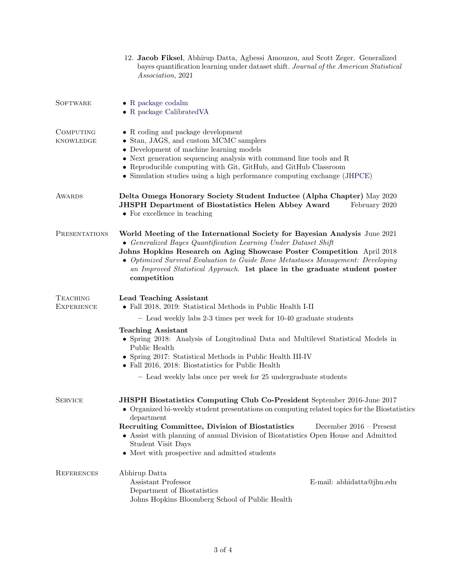|                                      | 12. Jacob Fiksel, Abhirup Datta, Agbessi Amouzou, and Scott Zeger. Generalized<br>bayes quantification learning under dataset shift. Journal of the American Statistical<br>Association, 2021                                                                                                                                                                                                                                             |  |
|--------------------------------------|-------------------------------------------------------------------------------------------------------------------------------------------------------------------------------------------------------------------------------------------------------------------------------------------------------------------------------------------------------------------------------------------------------------------------------------------|--|
| <b>SOFTWARE</b>                      | $\bullet$ R package codalm<br>$\bullet$ R package Calibrated VA                                                                                                                                                                                                                                                                                                                                                                           |  |
| <b>COMPUTING</b><br><b>KNOWLEDGE</b> | • R coding and package development<br>• Stan, JAGS, and custom MCMC samplers<br>• Development of machine learning models<br>$\bullet$ Next generation sequencing analysis with command line tools and R<br>• Reproducible computing with Git, GitHub, and GitHub Classroom<br>• Simulation studies using a high performance computing exchange (JHPCE)                                                                                    |  |
| AWARDS                               | Delta Omega Honorary Society Student Inductee (Alpha Chapter) May 2020<br><b>JHSPH Department of Biostatistics Helen Abbey Award</b><br>February 2020<br>• For excellence in teaching                                                                                                                                                                                                                                                     |  |
| <b>PRESENTATIONS</b>                 | World Meeting of the International Society for Bayesian Analysis June 2021<br>• Generalized Bayes Quantification Learning Under Dataset Shift<br>Johns Hopkins Research on Aging Showcase Poster Competition April 2018<br>• Optimized Survival Evaluation to Guide Bone Metastases Management: Developing<br>an Improved Statistical Approach. 1st place in the graduate student poster<br>competition                                   |  |
| <b>TEACHING</b><br><b>EXPERIENCE</b> | <b>Lead Teaching Assistant</b><br>• Fall 2018, 2019: Statistical Methods in Public Health I-II                                                                                                                                                                                                                                                                                                                                            |  |
|                                      | - Lead weekly labs 2-3 times per week for 10-40 graduate students                                                                                                                                                                                                                                                                                                                                                                         |  |
|                                      | <b>Teaching Assistant</b><br>• Spring 2018: Analysis of Longitudinal Data and Multilevel Statistical Models in<br>Public Health<br>• Spring 2017: Statistical Methods in Public Health III-IV<br>• Fall 2016, 2018: Biostatistics for Public Health                                                                                                                                                                                       |  |
|                                      | - Lead weekly labs once per week for 25 undergraduate students                                                                                                                                                                                                                                                                                                                                                                            |  |
| <b>SERVICE</b>                       | <b>JHSPH Biostatistics Computing Club Co-President</b> September 2016-June 2017<br>• Organized bi-weekly student presentations on computing related topics for the Biostatistics<br>department<br>Recruiting Committee, Division of Biostatistics<br>December 2016 - Present<br>• Assist with planning of annual Division of Biostatistics Open House and Admitted<br>Student Visit Days<br>• Meet with prospective and admitted students |  |
| <b>REFERENCES</b>                    | Abhirup Datta<br>Assistant Professor<br>E-mail: abhidatta@jhu.edu<br>Department of Biostatistics<br>Johns Hopkins Bloomberg School of Public Health                                                                                                                                                                                                                                                                                       |  |